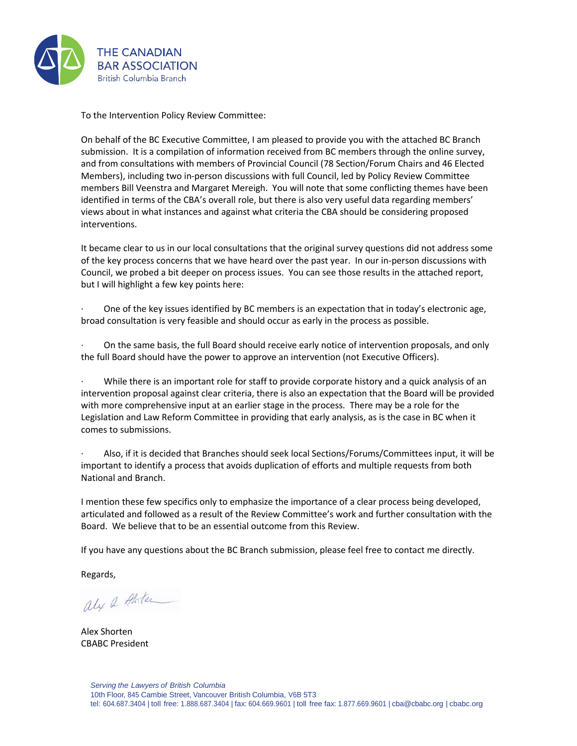

To the Intervention Policy Review Committee:

On behalf of the BC Executive Committee, I am pleased to provide you with the attached BC Branch submission. It is a compilation of information received from BC members through the online survey, and from consultations with members of Provincial Council (78 Section/Forum Chairs and 46 Elected Members), including two in-person discussions with full Council, led by Policy Review Committee members Bill Veenstra and Margaret Mereigh. You will note that some conflicting themes have been identified in terms of the CBA's overall role, but there is also very useful data regarding members' views about in what instances and against what criteria the CBA should be considering proposed interventions.

It became clear to us in our local consultations that the original survey questions did not address some of the key process concerns that we have heard over the past year. In our in-person discussions with Council, we probed a bit deeper on process issues. You can see those results in the attached report, but I will highlight a few key points here:

· One of the key issues identified by BC members is an expectation that in today's electronic age, broad consultation is very feasible and should occur as early in the process as possible.

· On the same basis, the full Board should receive early notice of intervention proposals, and only the full Board should have the power to approve an intervention (not Executive Officers).

While there is an important role for staff to provide corporate history and a quick analysis of an intervention proposal against clear criteria, there is also an expectation that the Board will be provided with more comprehensive input at an earlier stage in the process. There may be a role for the Legislation and Law Reform Committee in providing that early analysis, as is the case in BC when it comes to submissions.

· Also, if it is decided that Branches should seek local Sections/Forums/Committees input, it will be important to identify a process that avoids duplication of efforts and multiple requests from both National and Branch.

I mention these few specifics only to emphasize the importance of a clear process being developed, articulated and followed as a result of the Review Committee's work and further consultation with the Board. We believe that to be an essential outcome from this Review.

If you have any questions about the BC Branch submission, please feel free to contact me directly.

Regards,

aly a Alater

Alex Shorten CBABC President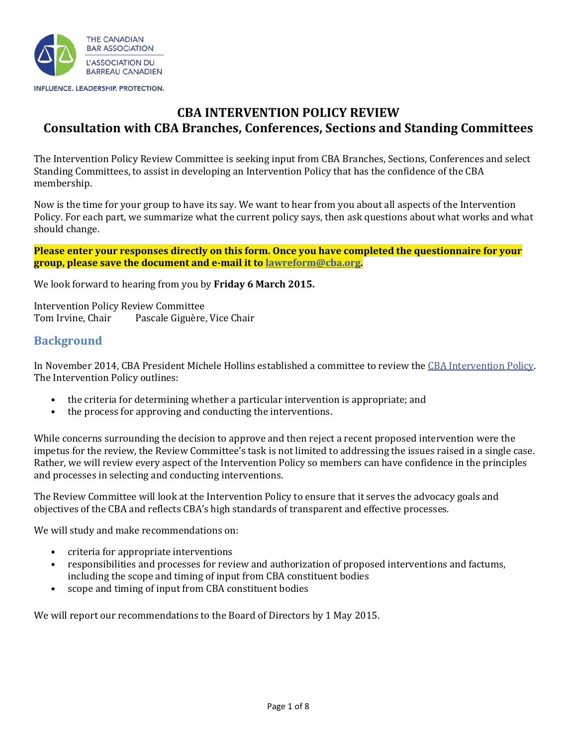

# **CBA INTERVENTION POLICY REVIEW Consultation with CBA Branches, Conferences, Sections and Standing Committees**

The Intervention Policy Review Committee is seeking input from CBA Branches, Sections, Conferences and select Standing Committees, to assist in developing an Intervention Policy that has the confidence of the CBA membership.

Now is the time for your group to have its say. We want to hear from you about all aspects of the Intervention Policy. For each part, we summarize what the current policy says, then ask questions about what works and what should change.

**Please enter your responses directly on this form. Once you have completed the questionnaire for your group, please save the document and e-mail it to lawreform@cba.org.** 

We look forward to hearing from you by **Friday 6 March 2015.** 

Intervention Policy Review Committee Tom Irvine, Chair Pascale Giguère, Vice Chair

### **Background**

In November 2014, CBA President Michele Hollins established a committee to review the CBA Intervention Policy. The Intervention Policy outlines:

- $\bullet$ the criteria for determining whether a particular intervention is appropriate; and
- $\bullet$ the process for approving and conducting the interventions.

While concerns surrounding the decision to approve and then reject a recent proposed intervention were the impetus for the review, the Review Committee's task is not limited to addressing the issues raised in a single case. Rather, we will review every aspect of the Intervention Policy so members can have confidence in the principles and processes in selecting and conducting interventions.

The Review Committee will look at the Intervention Policy to ensure that it serves the advocacy goals and objectives of the CBA and reflects CBA's high standards of transparent and effective processes.

We will study and make recommendations on:

- criteria for appropriate interventions
- responsibilities and processes for review and authorization of proposed interventions and factums, including the scope and timing of input from CBA constituent bodies
- $\bullet$ scope and timing of input from CBA constituent bodies

We will report our recommendations to the Board of Directors by 1 May 2015.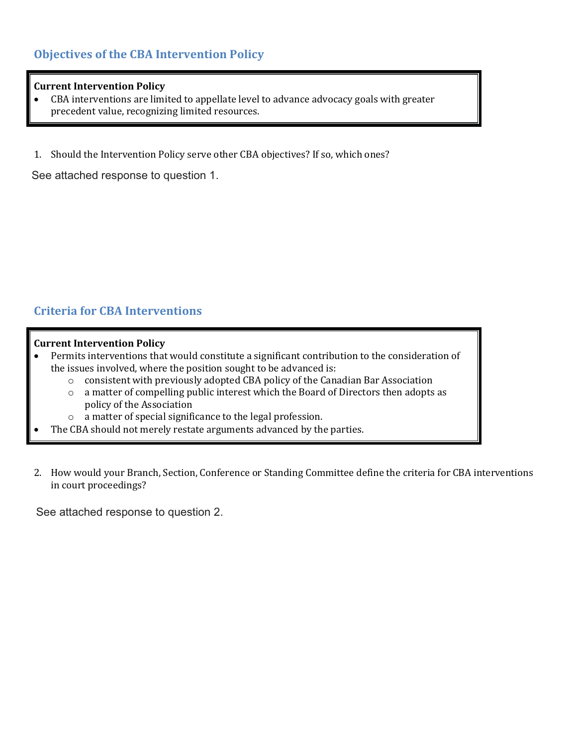## **Objectives of the CBA Intervention Policy**

#### **Current Intervention Policy**

- - CBA interventions are limited to appellate level to advance advocacy goals with greater precedent value, recognizing limited resources.
- 1. Should the Intervention Policy serve other CBA objectives? If so, which ones?

See attached response to question 1.

## **Criteria for CBA Interventions**

#### **Current Intervention Policy**

- $\bullet$  Permits interventions that would constitute a significant contribution to the consideration of the issues involved, where the position sought to be advanced is:
	- o consistent with previously adopted CBA policy of the Canadian Bar Association
	- o a matter of compelling public interest which the Board of Directors then adopts as policy of the Association
	- o a matter of special significance to the legal profession.
- -The CBA should not merely restate arguments advanced by the parties.
- 2. How would your Branch, Section, Conference or Standing Committee define the criteria for CBA interventions in court proceedings?

See attached response to question 2.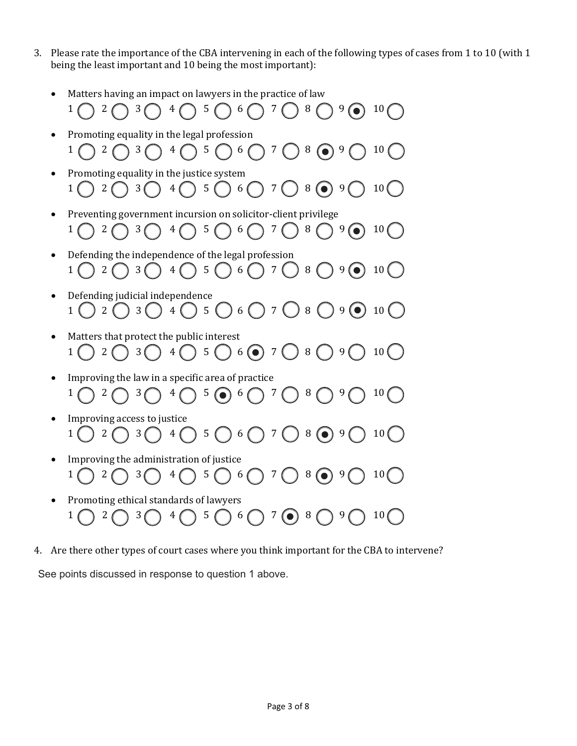- 3. Please rate the importance of the CBA intervening in each of the following types of cases from 1 to 10 (with 1 being the least important and 10 being the most important):
	- $\bullet$ Matters having an impact on lawyers in the practice of law
	- $1$   $\bigcap$   $2$   $\bigcap$   $3$   $\bigcap$   $4$   $\bigcap$   $5$   $\bigcap$   $6$   $\bigcap$   $7$   $\bigcap$   $8$   $\bigcap$   $9$   $\bigcap$   $10$   $\bigcap$  $\bullet$  Promoting equality in the legal profession  $1 \bigcap 2 \bigcap 3 \bigcap 4 \bigcap 5 \bigcap 6 \bigcap 7 \bigcap 8 \bigcirc 9 \bigcap 10$  $\bullet$  Promoting equality in the justice system  $1() 2() 3() 4() 5() 6() 7() 8() 9() 10()$  $\bullet$  Preventing government incursion on solicitor-client privilege  $1 \bigcap 2 \bigcap 3 \bigcap 4 \bigcap 5 \bigcap 6 \bigcap 7 \bigcap 8 \bigcap 9 \bigcirc 10 \bigcap$  $\bullet$  Defending the independence of the legal profession  $1 \bigcap 2 \bigcap 3 \bigcap 4 \bigcap 5 \bigcap 6 \bigcap 7 \bigcap 8 \bigcap 9 \bigcirc 10 \bigcap 1$  $\bullet$  Defending judicial independence  $1$   $2$   $3$   $3$   $4$   $5$   $5$   $6$   $7$   $3$   $8$   $9$   $9$   $10$   $10$  $\bullet$  Matters that protect the public interest  $1$   $\bigcirc$   $2$   $\bigcirc$   $3$   $\bigcirc$   $4$   $\bigcirc$   $5$   $\bigcirc$   $6$   $\bigcirc$   $7$   $\bigcirc$   $8$   $\bigcirc$   $9$   $\bigcirc$   $10$   $\bigcirc$  $\bullet$  Improving the law in a specific area of practice  $1 \bigcap 2 \bigcap 3 \bigcap 4 \bigcap 5 \bigcap 6 \bigcap 7 \bigcap 8 \bigcap 9 \bigcap 10$  $\bullet$  Improving access to justice  $1$   $2$   $\bigcap$   $3$   $\bigcap$   $4$   $\bigcap$   $5$   $\bigcap$   $6$   $\bigcap$   $7$   $\bigcap$   $8$   $\bigcirc$   $9$   $\bigcap$   $10$   $\bigcirc$  $\bullet$  Improving the administration of justice  $1$   $2$   $3$   $3$   $4$   $5$   $6$   $7$   $8$   $9$   $9$   $10$  $\bullet$  Promoting ethical standards of lawyers  $1$   $2$   $3$   $3$   $4$   $5$   $5$   $6$   $7$   $6$   $8$   $9$   $10$
- 4. Are there other types of court cases where you think important for the CBA to intervene?

See points discussed in response to question 1 above.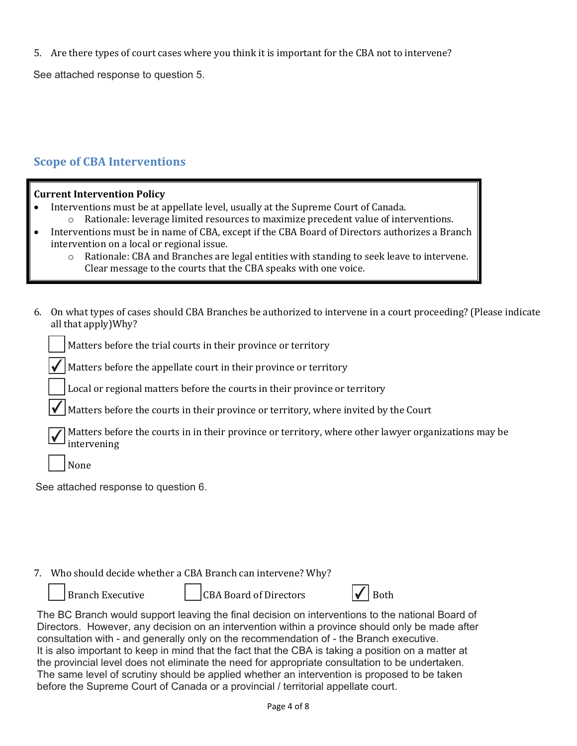5. Are there types of court cases where you think it is important for the CBA not to intervene?

See attached response to question 5.

## **Scope of CBA Interventions**

#### **Current Intervention Policy**

- $\bullet$  Interventions must be at appellate level, usually at the Supreme Court of Canada.
	- o Rationale: leverage limited resources to maximize precedent value of interventions.
- - Interventions must be in name of CBA, except if the CBA Board of Directors authorizes a Branch intervention on a local or regional issue.
	- o Rationale: CBA and Branches are legal entities with standing to seek leave to intervene. Clear message to the courts that the CBA speaks with one voice.
- 6. On what types of cases should CBA Branches be authorized to intervene in a court proceeding? (Please indicate all that apply)Why?

| Matters before the trial courts in their province or territory |  |
|----------------------------------------------------------------|--|
|                                                                |  |

Matters before the appellate court in their province or territory  $\overline{\checkmark}$ 

Local or regional matters before the courts in their province or territory

Matters before the courts in their province or territory, where invited by the Court  $\overline{\checkmark}$ 

|  | $\overline{\mathcal{J}}$ Matters before the courts in in their province or territory, where other lawyer organizations may be |
|--|-------------------------------------------------------------------------------------------------------------------------------|
|  | $\mathbf{v}$ intervening                                                                                                      |

None

See attached response to question 6.

#### 7. Who should decide whether a CBA Branch can intervene? Why?

|  | Branch Executive |
|--|------------------|
|  |                  |

CBA Board of Directors  $|\mathcal{V}|$  Both

|--|--|

The BC Branch would support leaving the final decision on interventions to the national Board of Directors. However, any decision on an intervention within a province should only be made after consultation with - and generally only on the recommendation of - the Branch executive. It is also important to keep in mind that the fact that the CBA is taking a position on a matter at the provincial level does not eliminate the need for appropriate consultation to be undertaken. The same level of scrutiny should be applied whether an intervention is proposed to be taken before the Supreme Court of Canada or a provincial / territorial appellate court.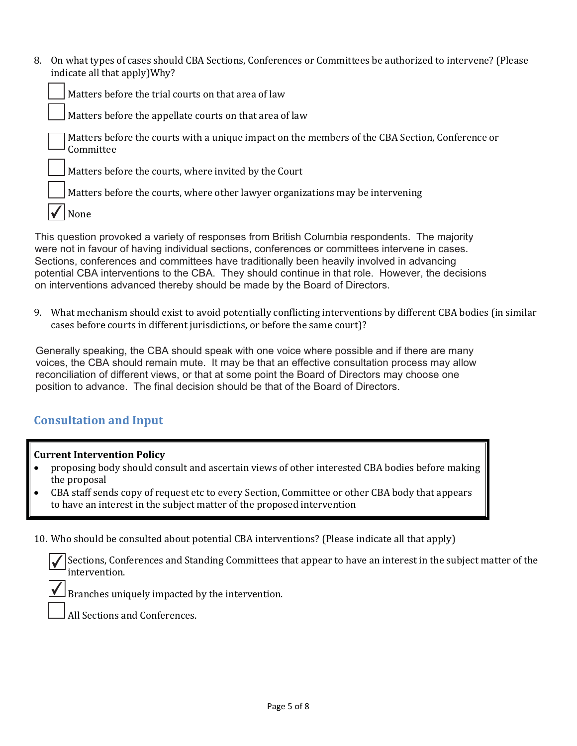8. On what types of cases should CBA Sections, Conferences or Committees be authorized to intervene? (Please indicate all that apply)Why?

Matters before the trial courts on that area of law

Matters before the appellate courts on that area of law

Matters before the courts with a unique impact on the members of the CBA Section, Conference or Committee

Matters before the courts, where invited by the Court

Matters before the courts, where other lawyer organizations may be intervening

None ✔

This question provoked a variety of responses from British Columbia respondents. The majority were not in favour of having individual sections, conferences or committees intervene in cases. Sections, conferences and committees have traditionally been heavily involved in advancing potential CBA interventions to the CBA. They should continue in that role. However, the decisions on interventions advanced thereby should be made by the Board of Directors.

9. What mechanism should exist to avoid potentially conflicting interventions by different CBA bodies (in similar cases before courts in different jurisdictions, or before the same court)?

Generally speaking, the CBA should speak with one voice where possible and if there are many voices, the CBA should remain mute. It may be that an effective consultation process may allow reconciliation of different views, or that at some point the Board of Directors may choose one position to advance. The final decision should be that of the Board of Directors.

## **Consultation and Input**

#### **Current Intervention Policy**

✔

- $\bullet$  proposing body should consult and ascertain views of other interested CBA bodies before making the proposal
- - CBA staff sends copy of request etc to every Section, Committee or other CBA body that appears to have an interest in the subject matter of the proposed intervention

10. Who should be consulted about potential CBA interventions? (Please indicate all that apply)

Sections, Conferences and Standing Committees that appear to have an interest in the subject matter of the intervention. ✔

Branches uniquely impacted by the intervention.

All Sections and Conferences.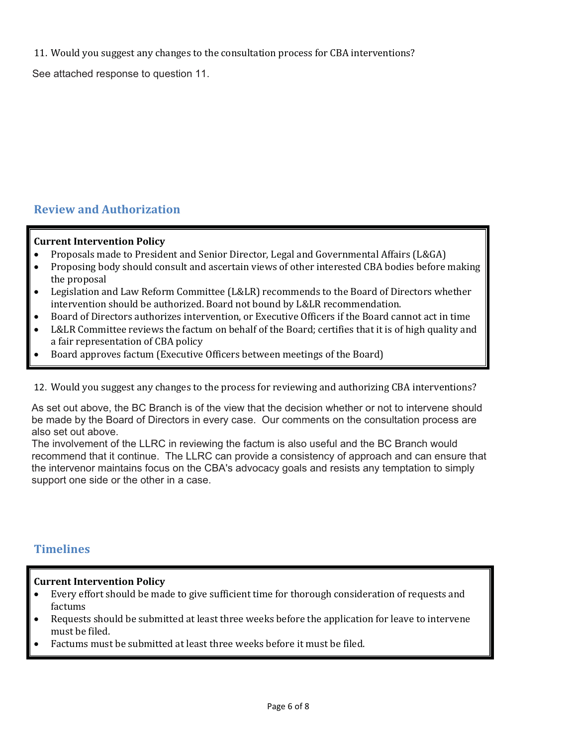11. Would you suggest any changes to the consultation process for CBA interventions?

See attached response to question 11.

## **Review and Authorization**

#### **Current Intervention Policy**

- $\bullet$ Proposals made to President and Senior Director, Legal and Governmental Affairs (L&GA)
- - Proposing body should consult and ascertain views of other interested CBA bodies before making the proposal
- - Legislation and Law Reform Committee (L&LR) recommends to the Board of Directors whether intervention should be authorized. Board not bound by L&LR recommendation.
- -Board of Directors authorizes intervention, or Executive Officers if the Board cannot act in time
- - L&LR Committee reviews the factum on behalf of the Board; certifies that it is of high quality and a fair representation of CBA policy
- $\bullet$ Board approves factum (Executive Officers between meetings of the Board)

#### 12. Would you suggest any changes to the process for reviewing and authorizing CBA interventions?

As set out above, the BC Branch is of the view that the decision whether or not to intervene should be made by the Board of Directors in every case. Our comments on the consultation process are also set out above.

The involvement of the LLRC in reviewing the factum is also useful and the BC Branch would recommend that it continue. The LLRC can provide a consistency of approach and can ensure that the intervenor maintains focus on the CBA's advocacy goals and resists any temptation to simply support one side or the other in a case.

### **Timelines**

#### **Current Intervention Policy**

- - Every effort should be made to give sufficient time for thorough consideration of requests and factums
- $\bullet$  Requests should be submitted at least three weeks before the application for leave to intervene must be filed.
- $\bullet$ Factums must be submitted at least three weeks before it must be filed.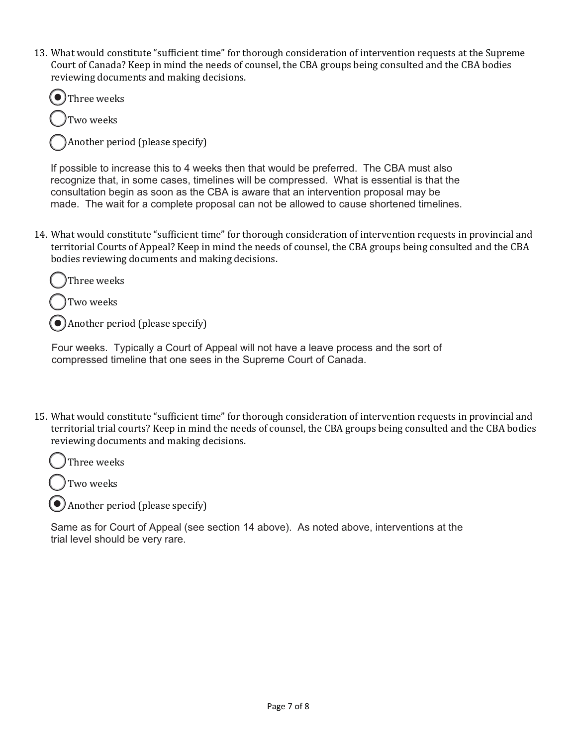13. What would constitute "sufficient time" for thorough consideration of intervention requests at the Supreme Court of Canada? Keep in mind the needs of counsel, the CBA groups being consulted and the CBA bodies reviewing documents and making decisions.



Another period (please specify)

If possible to increase this to 4 weeks then that would be preferred. The CBA must also recognize that, in some cases, timelines will be compressed. What is essential is that the consultation begin as soon as the CBA is aware that an intervention proposal may be made. The wait for a complete proposal can not be allowed to cause shortened timelines.

14. What would constitute "sufficient time" for thorough consideration of intervention requests in provincial and territorial Courts of Appeal? Keep in mind the needs of counsel, the CBA groups being consulted and the CBA bodies reviewing documents and making decisions.



Another period (please specify)

Four weeks. Typically a Court of Appeal will not have a leave process and the sort of compressed timeline that one sees in the Supreme Court of Canada.

15. What would constitute "sufficient time" for thorough consideration of intervention requests in provincial and territorial trial courts? Keep in mind the needs of counsel, the CBA groups being consulted and the CBA bodies reviewing documents and making decisions.

Three weeks

Two weeks

Another period (please specify)

Same as for Court of Appeal (see section 14 above). As noted above, interventions at the trial level should be very rare.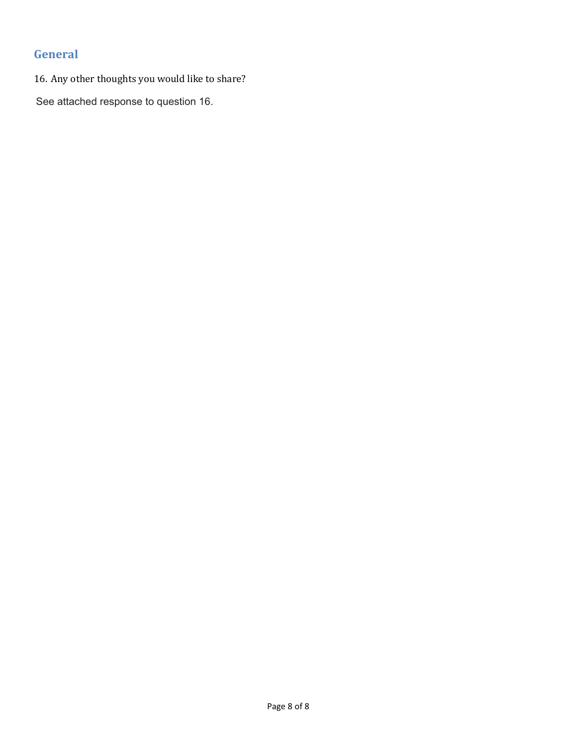# **General**

16. Any other thoughts you would like to share?

See attached response to question 16.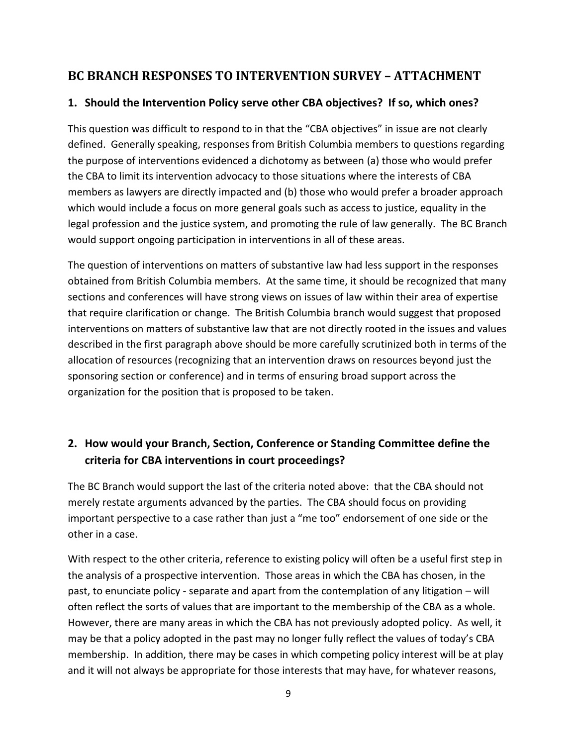# **BC BRANCH RESPONSES TO INTERVENTION SURVEY – ATTACHMENT**

### **1. Should the Intervention Policy serve other CBA objectives? If so, which ones?**

This question was difficult to respond to in that the "CBA objectives" in issue are not clearly defined. Generally speaking, responses from British Columbia members to questions regarding the purpose of interventions evidenced a dichotomy as between (a) those who would prefer the CBA to limit its intervention advocacy to those situations where the interests of CBA members as lawyers are directly impacted and (b) those who would prefer a broader approach which would include a focus on more general goals such as access to justice, equality in the legal profession and the justice system, and promoting the rule of law generally. The BC Branch would support ongoing participation in interventions in all of these areas.

The question of interventions on matters of substantive law had less support in the responses obtained from British Columbia members. At the same time, it should be recognized that many sections and conferences will have strong views on issues of law within their area of expertise that require clarification or change. The British Columbia branch would suggest that proposed interventions on matters of substantive law that are not directly rooted in the issues and values described in the first paragraph above should be more carefully scrutinized both in terms of the allocation of resources (recognizing that an intervention draws on resources beyond just the sponsoring section or conference) and in terms of ensuring broad support across the organization for the position that is proposed to be taken.

# **2. How would your Branch, Section, Conference or Standing Committee define the criteria for CBA interventions in court proceedings?**

The BC Branch would support the last of the criteria noted above: that the CBA should not merely restate arguments advanced by the parties. The CBA should focus on providing important perspective to a case rather than just a "me too" endorsement of one side or the other in a case.

With respect to the other criteria, reference to existing policy will often be a useful first step in the analysis of a prospective intervention. Those areas in which the CBA has chosen, in the past, to enunciate policy - separate and apart from the contemplation of any litigation – will often reflect the sorts of values that are important to the membership of the CBA as a whole. However, there are many areas in which the CBA has not previously adopted policy. As well, it may be that a policy adopted in the past may no longer fully reflect the values of today's CBA membership. In addition, there may be cases in which competing policy interest will be at play and it will not always be appropriate for those interests that may have, for whatever reasons,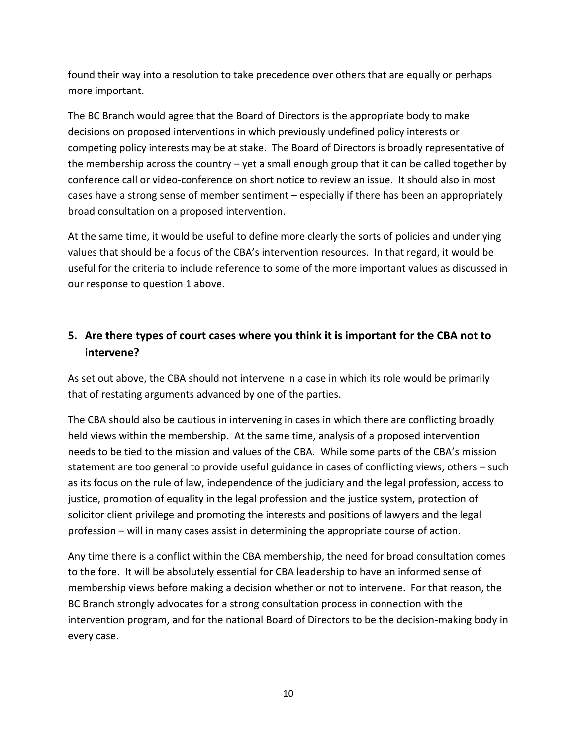found their way into a resolution to take precedence over others that are equally or perhaps more important.

The BC Branch would agree that the Board of Directors is the appropriate body to make decisions on proposed interventions in which previously undefined policy interests or competing policy interests may be at stake. The Board of Directors is broadly representative of the membership across the country – yet a small enough group that it can be called together by conference call or video-conference on short notice to review an issue. It should also in most cases have a strong sense of member sentiment – especially if there has been an appropriately broad consultation on a proposed intervention.

At the same time, it would be useful to define more clearly the sorts of policies and underlying values that should be a focus of the CBA's intervention resources. In that regard, it would be useful for the criteria to include reference to some of the more important values as discussed in our response to question 1 above.

# **5. Are there types of court cases where you think it is important for the CBA not to intervene?**

As set out above, the CBA should not intervene in a case in which its role would be primarily that of restating arguments advanced by one of the parties.

The CBA should also be cautious in intervening in cases in which there are conflicting broadly held views within the membership. At the same time, analysis of a proposed intervention needs to be tied to the mission and values of the CBA. While some parts of the CBA's mission statement are too general to provide useful guidance in cases of conflicting views, others – such as its focus on the rule of law, independence of the judiciary and the legal profession, access to justice, promotion of equality in the legal profession and the justice system, protection of solicitor client privilege and promoting the interests and positions of lawyers and the legal profession – will in many cases assist in determining the appropriate course of action.

Any time there is a conflict within the CBA membership, the need for broad consultation comes to the fore. It will be absolutely essential for CBA leadership to have an informed sense of membership views before making a decision whether or not to intervene. For that reason, the BC Branch strongly advocates for a strong consultation process in connection with the intervention program, and for the national Board of Directors to be the decision-making body in every case.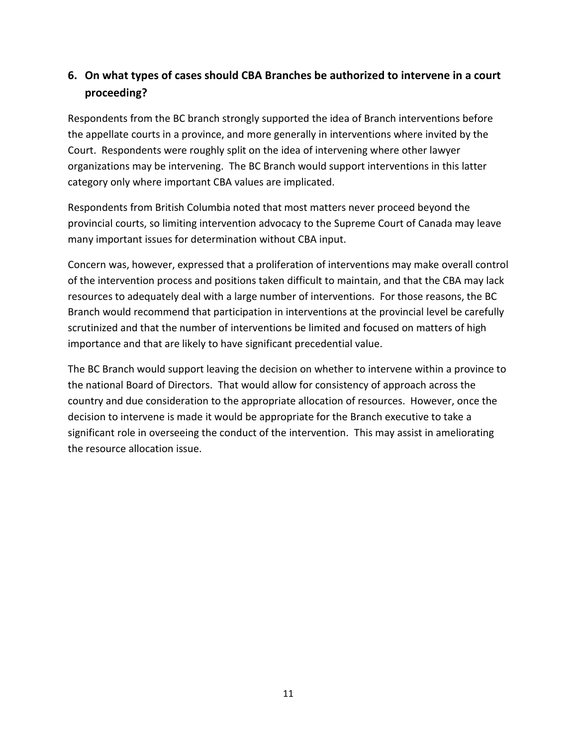# **6. On what types of cases should CBA Branches be authorized to intervene in a court proceeding?**

Respondents from the BC branch strongly supported the idea of Branch interventions before the appellate courts in a province, and more generally in interventions where invited by the Court. Respondents were roughly split on the idea of intervening where other lawyer organizations may be intervening. The BC Branch would support interventions in this latter category only where important CBA values are implicated.

Respondents from British Columbia noted that most matters never proceed beyond the provincial courts, so limiting intervention advocacy to the Supreme Court of Canada may leave many important issues for determination without CBA input.

Concern was, however, expressed that a proliferation of interventions may make overall control of the intervention process and positions taken difficult to maintain, and that the CBA may lack resources to adequately deal with a large number of interventions. For those reasons, the BC Branch would recommend that participation in interventions at the provincial level be carefully scrutinized and that the number of interventions be limited and focused on matters of high importance and that are likely to have significant precedential value.

The BC Branch would support leaving the decision on whether to intervene within a province to the national Board of Directors. That would allow for consistency of approach across the country and due consideration to the appropriate allocation of resources. However, once the decision to intervene is made it would be appropriate for the Branch executive to take a significant role in overseeing the conduct of the intervention. This may assist in ameliorating the resource allocation issue.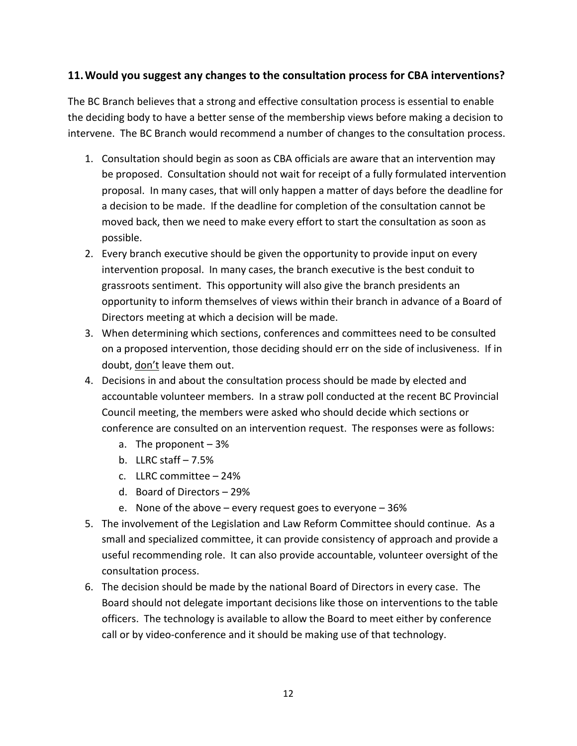### **11.Would you suggest any changes to the consultation process for CBA interventions?**

The BC Branch believes that a strong and effective consultation process is essential to enable the deciding body to have a better sense of the membership views before making a decision to intervene. The BC Branch would recommend a number of changes to the consultation process.

- 1. Consultation should begin as soon as CBA officials are aware that an intervention may be proposed. Consultation should not wait for receipt of a fully formulated intervention proposal. In many cases, that will only happen a matter of days before the deadline for a decision to be made. If the deadline for completion of the consultation cannot be moved back, then we need to make every effort to start the consultation as soon as possible.
- 2. Every branch executive should be given the opportunity to provide input on every intervention proposal. In many cases, the branch executive is the best conduit to grassroots sentiment. This opportunity will also give the branch presidents an opportunity to inform themselves of views within their branch in advance of a Board of Directors meeting at which a decision will be made.
- 3. When determining which sections, conferences and committees need to be consulted on a proposed intervention, those deciding should err on the side of inclusiveness. If in doubt, don't leave them out.
- 4. Decisions in and about the consultation process should be made by elected and accountable volunteer members. In a straw poll conducted at the recent BC Provincial Council meeting, the members were asked who should decide which sections or conference are consulted on an intervention request. The responses were as follows:
	- a. The proponent 3%
	- b. LLRC staff  $-7.5%$
	- c. LLRC committee 24%
	- d. Board of Directors 29%
	- e. None of the above every request goes to everyone 36%
- 5. The involvement of the Legislation and Law Reform Committee should continue. As a small and specialized committee, it can provide consistency of approach and provide a useful recommending role. It can also provide accountable, volunteer oversight of the consultation process.
- 6. The decision should be made by the national Board of Directors in every case. The Board should not delegate important decisions like those on interventions to the table officers. The technology is available to allow the Board to meet either by conference call or by video-conference and it should be making use of that technology.